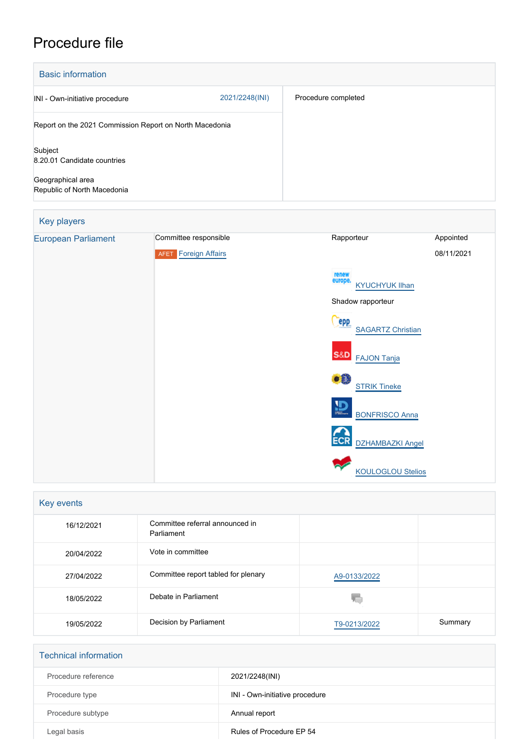## Procedure file

| <b>Basic information</b>                                |                |                     |  |  |
|---------------------------------------------------------|----------------|---------------------|--|--|
| INI - Own-initiative procedure                          | 2021/2248(INI) | Procedure completed |  |  |
| Report on the 2021 Commission Report on North Macedonia |                |                     |  |  |
| Subject<br>8.20.01 Candidate countries                  |                |                     |  |  |
| Geographical area<br>Republic of North Macedonia        |                |                     |  |  |

# Key players [European Parliament](http://www.europarl.europa.eu/) Committee responsible Rapporteur Rapporteur Appointed **AFET** [Foreign Affairs](http://www.europarl.europa.eu/committees/en/afet/home.html) 08/11/2021 [KYUCHYUK Ilhan](http://www.europarl.europa.eu/meps/en/124866) Shadow rapporteur **Cepp [SAGARTZ Christian](http://www.europarl.europa.eu/meps/en/204368)** S&D [FAJON Tanja](http://www.europarl.europa.eu/meps/en/96911) **[STRIK Tineke](http://www.europarl.europa.eu/meps/en/197772)**  $\overline{D}$  [BONFRISCO Anna](http://www.europarl.europa.eu/meps/en/197788) ECR [DZHAMBAZKI Angel](http://www.europarl.europa.eu/meps/en/124873) [KOULOGLOU Stelios](http://www.europarl.europa.eu/meps/en/130833)

| Key events |                                               |              |         |  |  |
|------------|-----------------------------------------------|--------------|---------|--|--|
| 16/12/2021 | Committee referral announced in<br>Parliament |              |         |  |  |
| 20/04/2022 | Vote in committee                             |              |         |  |  |
| 27/04/2022 | Committee report tabled for plenary           | A9-0133/2022 |         |  |  |
| 18/05/2022 | Debate in Parliament                          |              |         |  |  |
| 19/05/2022 | Decision by Parliament                        | T9-0213/2022 | Summary |  |  |

| <b>Technical information</b> |                                |  |
|------------------------------|--------------------------------|--|
| Procedure reference          | 2021/2248(INI)                 |  |
| Procedure type               | INI - Own-initiative procedure |  |
| Procedure subtype            | Annual report                  |  |
| Legal basis                  | Rules of Procedure EP 54       |  |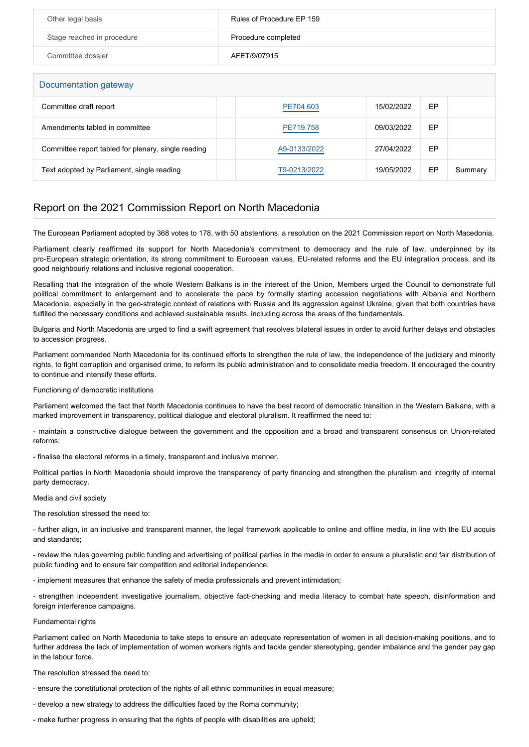| Other legal basis          | Rules of Procedure EP 159 |
|----------------------------|---------------------------|
| Stage reached in procedure | Procedure completed       |
| Committee dossier          | AFET/9/07915              |

## Documentation gateway

| DUCUITIONIQUUITI YAIGWAY                            |              |            |    |         |  |  |
|-----------------------------------------------------|--------------|------------|----|---------|--|--|
| Committee draft report                              | PE704.603    | 15/02/2022 | EP |         |  |  |
| Amendments tabled in committee                      | PE719.758    | 09/03/2022 | EP |         |  |  |
| Committee report tabled for plenary, single reading | A9-0133/2022 | 27/04/2022 | EP |         |  |  |
| Text adopted by Parliament, single reading          | T9-0213/2022 | 19/05/2022 | EP | Summary |  |  |

## Report on the 2021 Commission Report on North Macedonia

The European Parliament adopted by 368 votes to 178, with 50 abstentions, a resolution on the 2021 Commission report on North Macedonia.

Parliament clearly reaffirmed its support for North Macedonia's commitment to democracy and the rule of law, underpinned by its pro-European strategic orientation, its strong commitment to European values, EU-related reforms and the EU integration process, and its good neighbourly relations and inclusive regional cooperation.

Recalling that the integration of the whole Western Balkans is in the interest of the Union, Members urged the Council to demonstrate full political commitment to enlargement and to accelerate the pace by formally starting accession negotiations with Albania and Northern Macedonia, especially in the geo-strategic context of relations with Russia and its aggression against Ukraine, given that both countries have fulfilled the necessary conditions and achieved sustainable results, including across the areas of the fundamentals.

Bulgaria and North Macedonia are urged to find a swift agreement that resolves bilateral issues in order to avoid further delays and obstacles to accession progress.

Parliament commended North Macedonia for its continued efforts to strengthen the rule of law, the independence of the judiciary and minority rights, to fight corruption and organised crime, to reform its public administration and to consolidate media freedom. It encouraged the country to continue and intensify these efforts.

Functioning of democratic institutions

Parliament welcomed the fact that North Macedonia continues to have the best record of democratic transition in the Western Balkans, with a marked improvement in transparency, political dialogue and electoral pluralism. It reaffirmed the need to:

- maintain a constructive dialogue between the government and the opposition and a broad and transparent consensus on Union-related reforms;

- finalise the electoral reforms in a timely, transparent and inclusive manner.

Political parties in North Macedonia should improve the transparency of party financing and strengthen the pluralism and integrity of internal party democracy.

## Media and civil society

The resolution stressed the need to:

- further align, in an inclusive and transparent manner, the legal framework applicable to online and offline media, in line with the EU acquis and standards;

- review the rules governing public funding and advertising of political parties in the media in order to ensure a pluralistic and fair distribution of public funding and to ensure fair competition and editorial independence;

- implement measures that enhance the safety of media professionals and prevent intimidation;

- strengthen independent investigative journalism, objective fact-checking and media literacy to combat hate speech, disinformation and foreign interference campaigns.

### Fundamental rights

Parliament called on North Macedonia to take steps to ensure an adequate representation of women in all decision-making positions, and to further address the lack of implementation of women workers rights and tackle gender stereotyping, gender imbalance and the gender pay gap in the labour force.

The resolution stressed the need to:

- ensure the constitutional protection of the rights of all ethnic communities in equal measure;

- develop a new strategy to address the difficulties faced by the Roma community;

- make further progress in ensuring that the rights of people with disabilities are upheld;